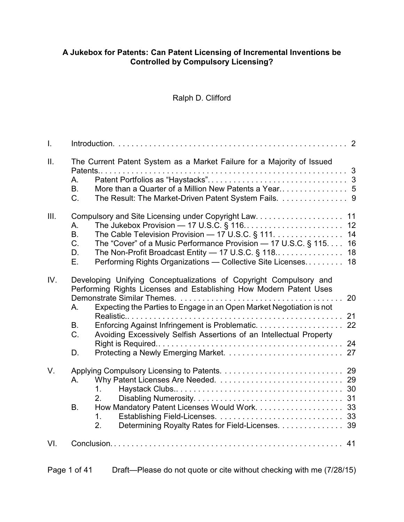#### **A Jukebox for Patents: Can Patent Licensing of Incremental Inventions be Controlled by Compulsory Licensing?**

# Ralph D. Clifford

| $\mathbf{I}$ .  |                                                                                                                                                                                                                                                                                                                       |                      |
|-----------------|-----------------------------------------------------------------------------------------------------------------------------------------------------------------------------------------------------------------------------------------------------------------------------------------------------------------------|----------------------|
| $\mathbf{II}$ . | The Current Patent System as a Market Failure for a Majority of Issued<br>A.<br><b>B.</b><br>C.<br>The Result: The Market-Driven Patent System Fails. 9                                                                                                                                                               |                      |
| III.            | 11<br>12<br>А.<br>The Cable Television Provision - 17 U.S.C. § 111.<br><b>B.</b><br>C.<br>The "Cover" of a Music Performance Provision - 17 U.S.C. § 115.<br>The Non-Profit Broadcast Entity $-$ 17 U.S.C. § 118<br>D.<br>Performing Rights Organizations - Collective Site Licenses<br>Е.                            | 14<br>16<br>18<br>18 |
| IV.             | Developing Unifying Conceptualizations of Copyright Compulsory and<br>Performing Rights Licenses and Establishing How Modern Patent Uses<br>Expecting the Parties to Engage in an Open Market Negotiation is not<br>A.<br>21<br>В.<br>C.<br>Avoiding Excessively Selfish Assertions of an Intellectual Property<br>D. | 20                   |
| V.              | Α.<br>1.<br>2.<br>Β.<br>$1_{-}$<br>Determining Royalty Rates for Field-Licenses. 39<br>2.                                                                                                                                                                                                                             |                      |
| VI.             |                                                                                                                                                                                                                                                                                                                       |                      |

| Page 1 of 41 | Draft—Please do not quote or cite without checking with me (7/28/15) |
|--------------|----------------------------------------------------------------------|
|              |                                                                      |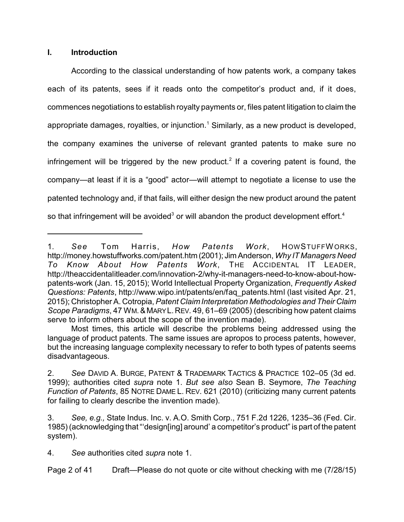#### **I. Introduction**

According to the classical understanding of how patents work, a company takes each of its patents, sees if it reads onto the competitor's product and, if it does, commences negotiations to establish royalty payments or, files patent litigation to claim the appropriate damages, royalties, or injunction.<sup>1</sup> Similarly, as a new product is developed, the company examines the universe of relevant granted patents to make sure no infringement will be triggered by the new product.<sup>2</sup> If a covering patent is found, the company—at least if it is a "good" actor—will attempt to negotiate a license to use the patented technology and, if that fails, will either design the new product around the patent so that infringement will be avoided<sup>3</sup> or will abandon the product development effort.<sup>4</sup>

<sup>1.</sup> *See* Tom Harris, *How Patents Work*, HOWSTUFFWORKS, <http://money.howstuffworks.com/patent.htm> (2001); Jim Anderson, *Why IT Managers Need To Know About How Patents Work*, THE ACCIDENTAL IT LEADER, http://theaccidentalitleader.com/innovation-2/why-it-managers-need-to-know-about-howpatents-work (Jan. 15, 2015); World Intellectual Property Organization, *Frequently Asked Questions: Patents*, http://www.wipo.int/patents/en/faq\_patents.html (last visited Apr. 21, 2015); Christopher A. Cotropia, *Patent Claim Interpretation Methodologies and Their Claim Scope Paradigms*, 47 WM.& MARYL. REV. 49, 61–69 (2005) (describing how patent claims serve to inform others about the scope of the invention made).

Most times, this article will describe the problems being addressed using the language of product patents. The same issues are apropos to process patents, however, but the increasing language complexity necessary to refer to both types of patents seems disadvantageous.

<sup>2.</sup> *See* DAVID A. BURGE, PATENT & TRADEMARK TACTICS & PRACTICE 102–05 (3d ed. 1999); authorities cited *supra* note 1. *But see also* Sean B. Seymore, *The Teaching Function of Patents*, 85 NOTRE DAME L. REV. 621 (2010) (criticizing many current patents for failing to clearly describe the invention made).

<sup>3.</sup> *See, e.g.,* State Indus. Inc. v. A.O. Smith Corp., 751 F.2d 1226, 1235–36 (Fed. Cir. 1985) (acknowledging that "'design[ing] around' a competitor's product" is part of the patent system).

<sup>4.</sup> *See* authorities cited *supra* note 1.

Page 2 of 41 Draft—Please do not quote or cite without checking with me (7/28/15)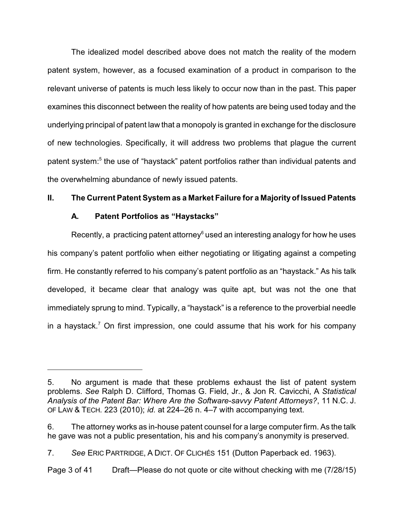The idealized model described above does not match the reality of the modern patent system, however, as a focused examination of a product in comparison to the relevant universe of patents is much less likely to occur now than in the past. This paper examines this disconnect between the reality of how patents are being used today and the underlying principal of patent law that a monopoly is granted in exchange for the disclosure of new technologies. Specifically, it will address two problems that plague the current patent system:<sup>5</sup> the use of "haystack" patent portfolios rather than individual patents and the overwhelming abundance of newly issued patents.

#### **II. The Current Patent System as a Market Failure for a Majority of Issued Patents**

#### **A. Patent Portfolios as "Haystacks"**

Recently, a practicing patent attorney $6$  used an interesting analogy for how he uses his company's patent portfolio when either negotiating or litigating against a competing firm. He constantly referred to his company's patent portfolio as an "haystack." As his talk developed, it became clear that analogy was quite apt, but was not the one that immediately sprung to mind. Typically, a "haystack" is a reference to the proverbial needle in a haystack.<sup>7</sup> On first impression, one could assume that his work for his company

<sup>5.</sup> No argument is made that these problems exhaust the list of patent system problems. *See* Ralph D. Clifford, Thomas G. Field, Jr., & Jon R. Cavicchi, A *Statistical Analysis of the Patent Bar: Where Are the Software-savvy Patent Attorneys?*, 11 N.C. J. OF LAW & TECH. 223 (2010); *id.* at 224–26 n. 4–7 with accompanying text.

<sup>6.</sup> The attorney works as in-house patent counsel for a large computer firm. As the talk he gave was not a public presentation, his and his company's anonymity is preserved.

<sup>7.</sup> *See* ERIC PARTRIDGE, A DICT. OF CLICHÉS 151 (Dutton Paperback ed. 1963).

Page 3 of 41 Draft—Please do not quote or cite without checking with me (7/28/15)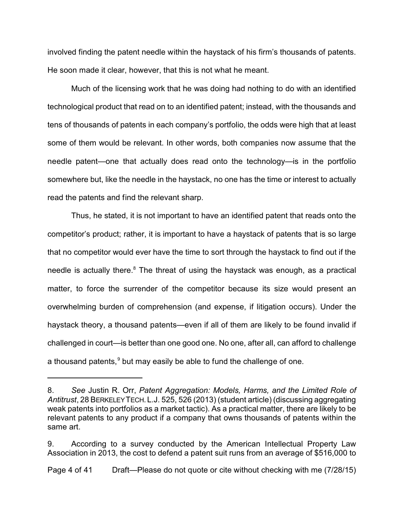involved finding the patent needle within the haystack of his firm's thousands of patents. He soon made it clear, however, that this is not what he meant.

Much of the licensing work that he was doing had nothing to do with an identified technological product that read on to an identified patent; instead, with the thousands and tens of thousands of patents in each company's portfolio, the odds were high that at least some of them would be relevant. In other words, both companies now assume that the needle patent—one that actually does read onto the technology—is in the portfolio somewhere but, like the needle in the haystack, no one has the time or interest to actually read the patents and find the relevant sharp.

Thus, he stated, it is not important to have an identified patent that reads onto the competitor's product; rather, it is important to have a haystack of patents that is so large that no competitor would ever have the time to sort through the haystack to find out if the needle is actually there.<sup>8</sup> The threat of using the haystack was enough, as a practical matter, to force the surrender of the competitor because its size would present an overwhelming burden of comprehension (and expense, if litigation occurs). Under the haystack theory, a thousand patents—even if all of them are likely to be found invalid if challenged in court—is better than one good one. No one, after all, can afford to challenge a thousand patents,<sup>9</sup> but may easily be able to fund the challenge of one.

<sup>8.</sup> *See* Justin R. Orr, *Patent Aggregation: Models, Harms, and the Limited Role of Antitrust*, 28 BERKELEYTECH.L.J. 525, 526 (2013) (student article) (discussing aggregating weak patents into portfolios as a market tactic). As a practical matter, there are likely to be relevant patents to any product if a company that owns thousands of patents within the same art.

<sup>9.</sup> According to a survey conducted by the American Intellectual Property Law Association in 2013, the cost to defend a patent suit runs from an average of \$516,000 to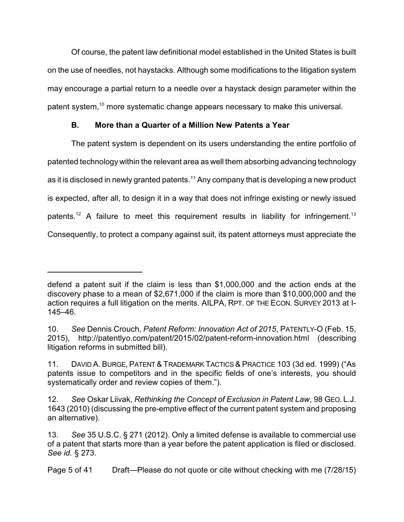Of course, the patent law definitional model established in the United States is built on the use of needles, not haystacks. Although some modifications to the litigation system may encourage a partial return to a needle over a haystack design parameter within the patent system,<sup>10</sup> more systematic change appears necessary to make this universal.

# **B. More than a Quarter of a Million New Patents a Year**

The patent system is dependent on its users understanding the entire portfolio of patented technology within the relevant area as well them absorbing advancing technology as it is disclosed in newly granted patents.<sup>11</sup> Any company that is developing a new product is expected, after all, to design it in a way that does not infringe existing or newly issued patents.<sup>12</sup> A failure to meet this requirement results in liability for infringement.<sup>13</sup> Consequently, to protect a company against suit, its patent attorneys must appreciate the

defend a patent suit if the claim is less than \$1,000,000 and the action ends at the discovery phase to a mean of \$2,671,000 if the claim is more than \$10,000,000 and the action requires a full litigation on the merits. AILPA, RPT. OF THE ECON. SURVEY 2013 at I-145–46.

<sup>10.</sup> *See* Dennis Crouch, *Patent Reform: Innovation Act of 2015*, PATENTLY-O (Feb. 15, 2015), http://patentlyo.com/patent/2015/02/patent-reform-innovation.html (describing litigation reforms in submitted bill).

<sup>11.</sup> DAVID A. BURGE, PATENT& TRADEMARK TACTICS & PRACTICE 103 (3d ed. 1999) ("As patents issue to competitors and in the specific fields of one's interests, you should systematically order and review copies of them.").

<sup>12.</sup> *See* Oskar Liivak, *Rethinking the Concept of Exclusion in Patent Law*, 98 GEO. L.J. 1643 (2010) (discussing the pre-emptive effect of the current patent system and proposing an alternative).

<sup>13.</sup> *See* 35 U.S.C. § 271 (2012). Only a limited defense is available to commercial use of a patent that starts more than a year before the patent application is filed or disclosed. *See id.* § 273.

Page 5 of 41 Draft—Please do not quote or cite without checking with me (7/28/15)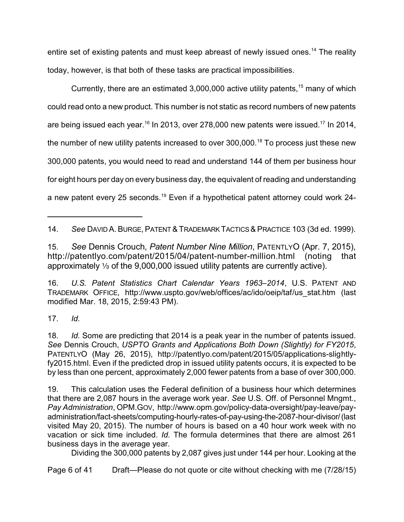entire set of existing patents and must keep abreast of newly issued ones.<sup>14</sup> The reality today, however, is that both of these tasks are practical impossibilities.

Currently, there are an estimated  $3,000,000$  active utility patents,  $15$  many of which could read onto a new product. This number is not static as record numbers of new patents are being issued each year. $^{16}$  In 2013, over 278,000 new patents were issued. $^{17}$  In 2014, the number of new utility patents increased to over  $300,000$ .<sup>18</sup> To process just these new 300,000 patents, you would need to read and understand 144 of them per business hour for eight hours per day on every business day, the equivalent of reading and understanding a new patent every 25 seconds.<sup>19</sup> Even if a hypothetical patent attorney could work 24-

15. *See* Dennis Crouch, *Patent Number Nine Million*, PATENTLYO (Apr. 7, 2015), <http://patentlyo.com/patent/2015/04/patent-number-million.html> (noting that approximately  $\frac{1}{3}$  of the 9,000,000 issued utility patents are currently active).

16. *U.S. Patent Statistics Chart Calendar Years 1963–2014*, U.S. PATENT AND TRADEMARK OFFICE, [http://www.uspto.gov/web/offices/ac/ido/oeip/taf/us\\_stat.htm](http://www.uspto.gov/web/offices/ac/ido/oeip/taf/us_stat.htm) (last modified Mar. 18, 2015, 2:59:43 PM).

17. *Id.*

19. This calculation uses the Federal definition of a business hour which determines that there are 2,087 hours in the average work year. *See* U.S. Off. of Personnel Mngmt., *Pay Administration*, OPM.GOV, http://www.opm.gov/policy-data-oversight/pay-leave/payadministration/fact-sheets/computing-hourly-rates-of-pay-using-the-2087-hour-divisor/(last visited May 20, 2015). The number of hours is based on a 40 hour work week with no vacation or sick time included. *Id.* The formula determines that there are almost 261 business days in the average year.

Dividing the 300,000 patents by 2,087 gives just under 144 per hour. Looking at the

Page 6 of 41 Draft—Please do not quote or cite without checking with me (7/28/15)

<sup>14.</sup> *See* DAVID A. BURGE, PATENT& TRADEMARK TACTICS & PRACTICE 103 (3d ed. 1999).

<sup>18.</sup> *Id.* Some are predicting that 2014 is a peak year in the number of patents issued. *See* Dennis Crouch, *USPTO Grants and Applications Both Down (Slightly) for FY2015*, PATENTLYO (May 26, 2015), http://patentlyo.com/patent/2015/05/applications-slightlyfy2015.html. Even if the predicted drop in issued utility patents occurs, it is expected to be by less than one percent, approximately 2,000 fewer patents from a base of over 300,000.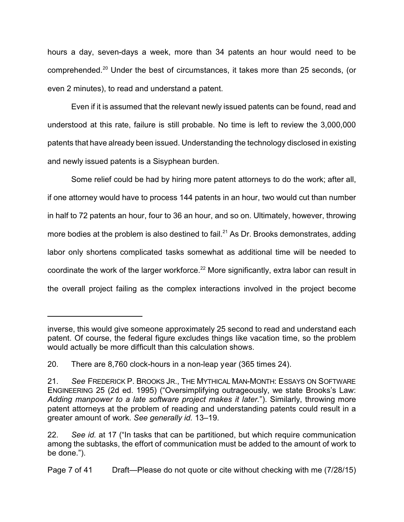hours a day, seven-days a week, more than 34 patents an hour would need to be comprehended.<sup>20</sup> Under the best of circumstances, it takes more than 25 seconds, (or even 2 minutes), to read and understand a patent.

Even if it is assumed that the relevant newly issued patents can be found, read and understood at this rate, failure is still probable. No time is left to review the 3,000,000 patents that have already been issued. Understanding the technology disclosed in existing and newly issued patents is a Sisyphean burden.

Some relief could be had by hiring more patent attorneys to do the work; after all, if one attorney would have to process 144 patents in an hour, two would cut than number in half to 72 patents an hour, four to 36 an hour, and so on. Ultimately, however, throwing more bodies at the problem is also destined to fail.<sup>21</sup> As Dr. Brooks demonstrates, adding labor only shortens complicated tasks somewhat as additional time will be needed to coordinate the work of the larger workforce.<sup>22</sup> More significantly, extra labor can result in the overall project failing as the complex interactions involved in the project become

inverse, this would give someone approximately 25 second to read and understand each patent. Of course, the federal figure excludes things like vacation time, so the problem would actually be more difficult than this calculation shows.

<sup>20.</sup> There are 8,760 clock-hours in a non-leap year (365 times 24).

<sup>21.</sup> *See* FREDERICK P. BROOKS JR., THE MYTHICAL MAN-MONTH: ESSAYS ON SOFTWARE ENGINEERING 25 (2d ed. 1995) ("Oversimplifying outrageously, we state Brooks's Law: *Adding manpower to a late software project makes it later.*"). Similarly, throwing more patent attorneys at the problem of reading and understanding patents could result in a greater amount of work. *See generally id.* 13–19.

<sup>22.</sup> *See id.* at 17 ("In tasks that can be partitioned, but which require communication among the subtasks, the effort of communication must be added to the amount of work to be done.").

Page 7 of 41 Draft—Please do not quote or cite without checking with me (7/28/15)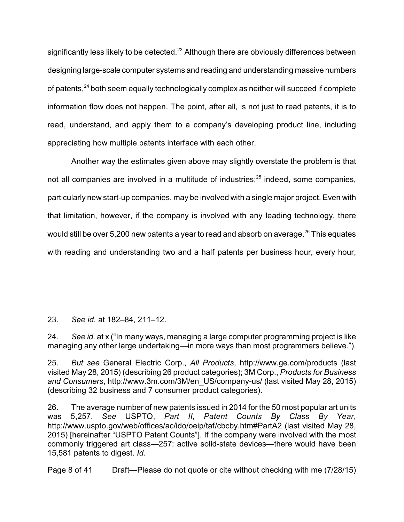significantly less likely to be detected.<sup>23</sup> Although there are obviously differences between designing large-scale computer systems and reading and understanding massive numbers of patents,<sup>24</sup> both seem equally technologically complex as neither will succeed if complete information flow does not happen. The point, after all, is not just to read patents, it is to read, understand, and apply them to a company's developing product line, including appreciating how multiple patents interface with each other.

Another way the estimates given above may slightly overstate the problem is that not all companies are involved in a multitude of industries; $^{25}$  indeed, some companies, particularly new start-up companies, may be involved with a single major project. Even with that limitation, however, if the company is involved with any leading technology, there would still be over 5,200 new patents a year to read and absorb on average.<sup>26</sup> This equates with reading and understanding two and a half patents per business hour, every hour,

Page 8 of 41 Draft—Please do not quote or cite without checking with me (7/28/15)

<sup>23.</sup> *See id.* at 182–84, 211–12.

<sup>24.</sup> *See id.* at x ("In many ways, managing a large computer programming project is like managing any other large undertaking—in more ways than most programmers believe.").

<sup>25.</sup> *But see* General Electric Corp., *All Products*, <http://www.ge.com/products> (last visited May 28, 2015) (describing 26 product categories); 3M Corp., *Products for Business and Consumers*, [http://www.3m.com/3M/en\\_US/company-us/](http://www.3m.com/3M/en_US/company-us/) (last visited May 28, 2015) (describing 32 business and 7 consumer product categories).

<sup>26.</sup> The average number of new patents issued in 2014 for the 50 most popular art units was 5,257. *See* USPTO, *Part II, Patent Counts By Class By Year*, http://www.uspto.gov/web/offices/ac/ido/oeip/taf/cbcby.htm#PartA2 (last visited May 28, 2015) [hereinafter "USPTO Patent Counts"]. If the company were involved with the most commonly triggered art class—257: active solid-state devices—there would have been 15,581 patents to digest. *Id.*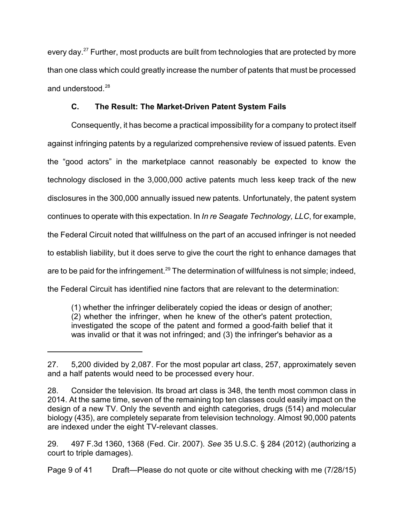every day.<sup>27</sup> Further, most products are built from technologies that are protected by more than one class which could greatly increase the number of patents that must be processed and understood.<sup>28</sup>

# **C. The Result: The Market-Driven Patent System Fails**

Consequently, it has become a practical impossibility for a company to protect itself against infringing patents by a regularized comprehensive review of issued patents. Even the "good actors" in the marketplace cannot reasonably be expected to know the technology disclosed in the 3,000,000 active patents much less keep track of the new disclosures in the 300,000 annually issued new patents. Unfortunately, the patent system continues to operate with this expectation. In *In re Seagate Technology, LLC*, for example, the Federal Circuit noted that willfulness on the part of an accused infringer is not needed to establish liability, but it does serve to give the court the right to enhance damages that are to be paid for the infringement.<sup>29</sup> The determination of willfulness is not simple; indeed, the Federal Circuit has identified nine factors that are relevant to the determination:

(1) whether the infringer deliberately copied the ideas or design of another; (2) whether the infringer, when he knew of the other's patent protection, investigated the scope of the patent and formed a good-faith belief that it was invalid or that it was not infringed; and (3) the infringer's behavior as a

Page 9 of 41 Draft—Please do not quote or cite without checking with me (7/28/15)

<sup>27.</sup> 5,200 divided by 2,087. For the most popular art class, 257, approximately seven and a half patents would need to be processed every hour.

<sup>28.</sup> Consider the television. Its broad art class is 348, the tenth most common class in 2014. At the same time, seven of the remaining top ten classes could easily impact on the design of a new TV. Only the seventh and eighth categories, drugs (514) and molecular biology (435), are completely separate from television technology. Almost 90,000 patents are indexed under the eight TV-relevant classes.

<sup>29.</sup> 497 F.3d 1360, 1368 (Fed. Cir. 2007). *See* 35 U.S.C. § 284 (2012) (authorizing a court to triple damages).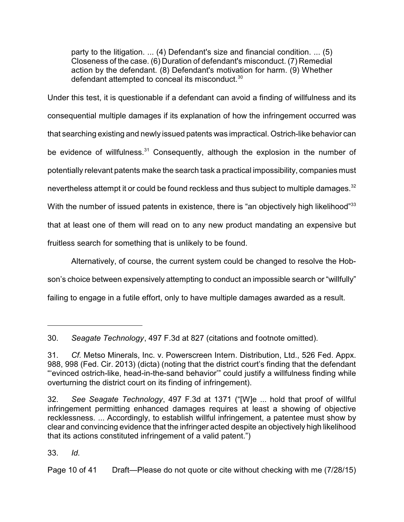party to the litigation. ... (4) Defendant's size and financial condition. ... (5) Closeness of the case. (6) Duration of defendant's misconduct. (7) Remedial action by the defendant. (8) Defendant's motivation for harm. (9) Whether defendant attempted to conceal its misconduct.<sup>30</sup>

Under this test, it is questionable if a defendant can avoid a finding of willfulness and its consequential multiple damages if its explanation of how the infringement occurred was that searching existing and newly issued patents was impractical. Ostrich-like behavior can be evidence of willfulness. $31$  Consequently, although the explosion in the number of potentially relevant patents make the search task a practical impossibility, companies must nevertheless attempt it or could be found reckless and thus subject to multiple damages.<sup>32</sup> With the number of issued patents in existence, there is "an objectively high likelihood"<sup>33</sup> that at least one of them will read on to any new product mandating an expensive but fruitless search for something that is unlikely to be found.

Alternatively, of course, the current system could be changed to resolve the Hobson's choice between expensively attempting to conduct an impossible search or "willfully" failing to engage in a futile effort, only to have multiple damages awarded as a result.

30. *Seagate Technology*, 497 F.3d at 827 (citations and footnote omitted).

33. *Id.*

Page 10 of 41 Draft—Please do not quote or cite without checking with me (7/28/15)

<sup>31.</sup> *Cf.* Metso Minerals, Inc. v. Powerscreen Intern. Distribution, Ltd., 526 Fed. Appx. 988, 998 (Fed. Cir. 2013) (dicta) (noting that the district court's finding that the defendant "'evinced ostrich-like, head-in-the-sand behavior'" could justify a willfulness finding while overturning the district court on its finding of infringement).

<sup>32.</sup> *See Seagate Technology*, 497 F.3d at 1371 ("[W]e ... hold that proof of willful infringement permitting enhanced damages requires at least a showing of objective recklessness. ... Accordingly, to establish willful infringement, a patentee must show by clear and convincing evidence that the infringer acted despite an objectively high likelihood that its actions constituted infringement of a valid patent.")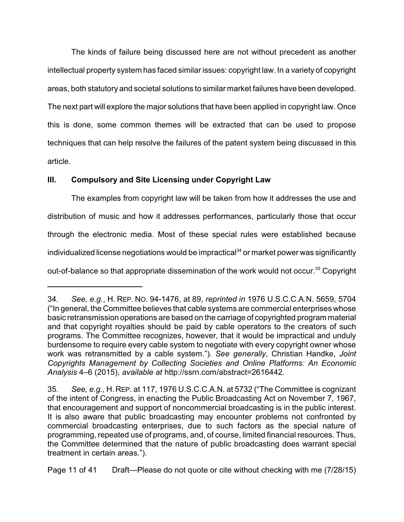The kinds of failure being discussed here are not without precedent as another intellectual property system has faced similar issues: copyright law. In a variety of copyright areas, both statutory and societal solutions to similar market failures have been developed. The next part will explore the major solutions that have been applied in copyright law. Once this is done, some common themes will be extracted that can be used to propose techniques that can help resolve the failures of the patent system being discussed in this article.

## **III. Compulsory and Site Licensing under Copyright Law**

The examples from copyright law will be taken from how it addresses the use and distribution of music and how it addresses performances, particularly those that occur through the electronic media. Most of these special rules were established because individualized license negotiations would be impractical $34$  or market power was significantly out-of-balance so that appropriate dissemination of the work would not occur.<sup>35</sup> Copyright

<sup>34.</sup> *See, e.g.*, H. REP. NO. 94-1476, at 89, *reprinted in* 1976 U.S.C.C.A.N. 5659, 5704 ("In general, the Committee believes that cable systems are commercial enterprises whose basic retransmission operations are based on the carriage of copyrighted program material and that copyright royalties should be paid by cable operators to the creators of such programs. The Committee recognizes, however, that it would be impractical and unduly burdensome to require every cable system to negotiate with every copyright owner whose work was retransmitted by a cable system."). *See generally*, Christian Handke, *Joint Copyrights Management by Collecting Societies and Online Platforms: An Economic Analysis* 4–6 (2015), *available at* http://ssrn.com/abstract=2616442.

<sup>35.</sup> *See, e.g.,* H. REP. at 117, 1976 U.S.C.C.A.N. at 5732 ("The Committee is cognizant of the intent of Congress, in enacting the Public Broadcasting Act on November 7, 1967, that encouragement and support of noncommercial broadcasting is in the public interest. It is also aware that public broadcasting may encounter problems not confronted by commercial broadcasting enterprises, due to such factors as the special nature of programming, repeated use of programs, and, of course, limited financial resources. Thus, the Committee determined that the nature of public broadcasting does warrant special treatment in certain areas.").

Page 11 of 41 Draft—Please do not quote or cite without checking with me (7/28/15)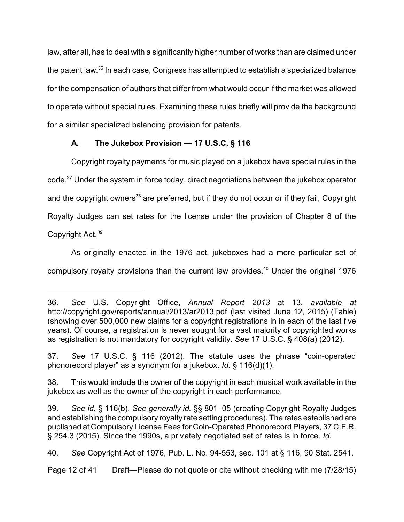law, after all, has to deal with a significantly higher number of works than are claimed under the patent law.<sup>36</sup> In each case, Congress has attempted to establish a specialized balance for the compensation of authors that differ from what would occur if the market was allowed to operate without special rules. Examining these rules briefly will provide the background for a similar specialized balancing provision for patents.

# **A. The Jukebox Provision — 17 U.S.C. § 116**

Copyright royalty payments for music played on a jukebox have special rules in the code.<sup>37</sup> Under the system in force today, direct negotiations between the jukebox operator and the copyright owners<sup>38</sup> are preferred, but if they do not occur or if they fail, Copyright Royalty Judges can set rates for the license under the provision of Chapter 8 of the Copyright Act.*<sup>39</sup>*

As originally enacted in the 1976 act, jukeboxes had a more particular set of compulsory royalty provisions than the current law provides.<sup>40</sup> Under the original 1976

<sup>36.</sup> *See* U.S. Copyright Office, *Annual Report 2013* at 13, *available at* <http://copyright.gov/reports/annual/2013/ar2013.pdf> (last visited June 12, 2015) (Table) (showing over 500,000 new claims for a copyright registrations in in each of the last five years). Of course, a registration is never sought for a vast majority of copyrighted works as registration is not mandatory for copyright validity. *See* 17 U.S.C. § 408(a) (2012).

<sup>37.</sup> *See* 17 U.S.C. § 116 (2012). The statute uses the phrase "coin-operated phonorecord player" as a synonym for a jukebox. *Id.* § 116(d)(1).

<sup>38.</sup> This would include the owner of the copyright in each musical work available in the jukebox as well as the owner of the copyright in each performance.

<sup>39.</sup> *See id.* § 116(b). *See generally id.* §§ 801–05 (creating Copyright Royalty Judges and establishing the compulsory royalty rate setting procedures). The rates established are published at Compulsory License Fees for Coin-Operated Phonorecord Players, 37 C.F.R. § 254.3 (2015). Since the 1990s, a privately negotiated set of rates is in force. *Id.*

<sup>40.</sup> *See* Copyright Act of 1976, Pub. L. No. 94-553, sec. 101 at § 116, 90 Stat. 2541.

Page 12 of 41 Draft—Please do not quote or cite without checking with me (7/28/15)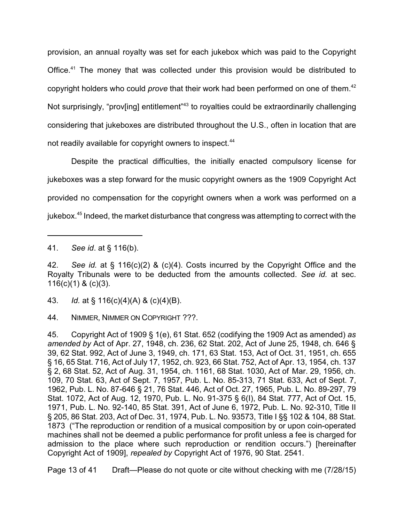provision, an annual royalty was set for each jukebox which was paid to the Copyright Office.<sup>41</sup> The money that was collected under this provision would be distributed to copyright holders who could *prove* that their work had been performed on one of them. 42 Not surprisingly, "prov[ing] entitlement"<sup>43</sup> to royalties could be extraordinarily challenging considering that jukeboxes are distributed throughout the U.S., often in location that are not readily available for copyright owners to inspect.<sup>44</sup>

Despite the practical difficulties, the initially enacted compulsory license for jukeboxes was a step forward for the music copyright owners as the 1909 Copyright Act provided no compensation for the copyright owners when a work was performed on a jukebox.<sup>45</sup> Indeed, the market disturbance that congress was attempting to correct with the

Page 13 of 41 Draft—Please do not quote or cite without checking with me (7/28/15)

<sup>41.</sup> *See id*. at § 116(b).

<sup>42.</sup> *See id.* at § 116(c)(2) & (c)(4). Costs incurred by the Copyright Office and the Royalty Tribunals were to be deducted from the amounts collected. *See id.* at sec.  $116(c)(1)$  &  $(c)(3)$ .

<sup>43.</sup> *Id.* at § 116(c)(4)(A) & (c)(4)(B).

<sup>44.</sup> NIMMER, NIMMER ON COPYRIGHT ???.

<sup>45.</sup> Copyright Act of 1909 § 1(e), 61 Stat. 652 (codifying the 1909 Act as amended) *as amended by* Act of Apr. 27, 1948, ch. 236, 62 Stat. 202, Act of June 25, 1948, ch. 646 § 39, 62 Stat. 992, Act of June 3, 1949, ch. 171, 63 Stat. 153, Act of Oct. 31, 1951, ch. 655 § 16, 65 Stat. 716, Act of July 17, 1952, ch. 923, 66 Stat. 752, Act of Apr. 13, 1954, ch. 137 § 2, 68 Stat. 52, Act of Aug. 31, 1954, ch. 1161, 68 Stat. 1030, Act of Mar. 29, 1956, ch. 109, 70 Stat. 63, Act of Sept. 7, 1957, Pub. L. No. 85-313, 71 Stat. 633, Act of Sept. 7, 1962, Pub. L. No. 87-646 § 21, 76 Stat. 446, Act of Oct. 27, 1965, Pub. L. No. 89-297, 79 Stat. 1072, Act of Aug. 12, 1970, Pub. L. No. 91-375 § 6(I), 84 Stat. 777, Act of Oct. 15, 1971, Pub. L. No. 92-140, 85 Stat. 391, Act of June 6, 1972, Pub. L. No. 92-310, Title II § 205, 86 Stat. 203, Act of Dec. 31, 1974, Pub. L. No. 93573, Title I §§ 102 & 104, 88 Stat. 1873 ("The reproduction or rendition of a musical composition by or upon coin-operated machines shall not be deemed a public performance for profit unless a fee is charged for admission to the place where such reproduction or rendition occurs.") [hereinafter Copyright Act of 1909], *repealed by* Copyright Act of 1976, 90 Stat. 2541.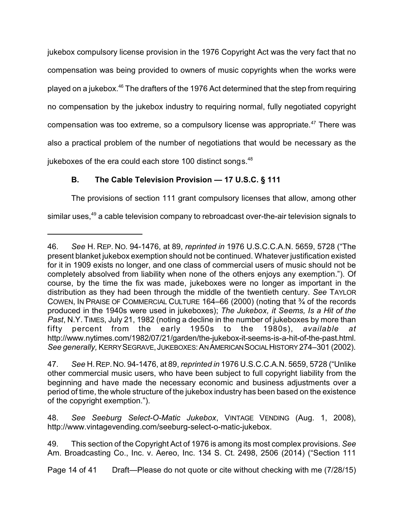jukebox compulsory license provision in the 1976 Copyright Act was the very fact that no compensation was being provided to owners of music copyrights when the works were played on a jukebox.<sup>46</sup> The drafters of the 1976 Act determined that the step from requiring no compensation by the jukebox industry to requiring normal, fully negotiated copyright compensation was too extreme, so a compulsory license was appropriate.<sup>47</sup> There was also a practical problem of the number of negotiations that would be necessary as the jukeboxes of the era could each store 100 distinct songs. $48$ 

# **B. The Cable Television Provision — 17 U.S.C. § 111**

The provisions of section 111 grant compulsory licenses that allow, among other similar uses,<sup>49</sup> a cable television company to rebroadcast over-the-air television signals to

48. *See Seeburg Select-O-Matic Jukebox*, VINTAGE VENDING (Aug. 1, 2008), <http://www.vintagevending.com/seeburg-select-o-matic-jukebox.>

Page 14 of 41 Draft—Please do not quote or cite without checking with me (7/28/15)

<sup>46.</sup> *See* H. REP. NO. 94-1476, at 89, *reprinted in* 1976 U.S.C.C.A.N. 5659, 5728 ("The present blanket jukebox exemption should not be continued. Whatever justification existed for it in 1909 exists no longer, and one class of commercial users of music should not be completely absolved from liability when none of the others enjoys any exemption."). Of course, by the time the fix was made, jukeboxes were no longer as important in the distribution as they had been through the middle of the twentieth century. *See* TAYLOR COWEN, IN PRAISE OF COMMERCIAL CULTURE 164–66 (2000) (noting that ¾ of the records produced in the 1940s were used in jukeboxes); *The Jukebox, it Seems, Is a Hit of the Past*, N.Y. TIMES, July 21, 1982 (noting a decline in the number of jukeboxes by more than<br>fifty percent from the early 1950s to the 1980s), available at fifty percent from the early 1950s to the 1980s), *available at* http://www.nytimes.com/1982/07/21/garden/the-jukebox-it-seems-is-a-hit-of-the-past.html. *See generally,* KERRYSEGRAVE,JUKEBOXES:ANAMERICANSOCIALHISTORY274–301 (2002).

<sup>47.</sup> *See* H.REP.NO. 94-1476, at 89, *reprinted in* 1976 U.S.C.C.A.N. 5659, 5728 ("Unlike other commercial music users, who have been subject to full copyright liability from the beginning and have made the necessary economic and business adjustments over a period of time, the whole structure of the jukebox industry has been based on the existence of the copyright exemption.").

<sup>49.</sup> This section of the Copyright Act of 1976 is among its most complex provisions. *See* Am. Broadcasting Co., Inc. v. Aereo, Inc. 134 S. Ct. 2498, 2506 (2014) ("Section 111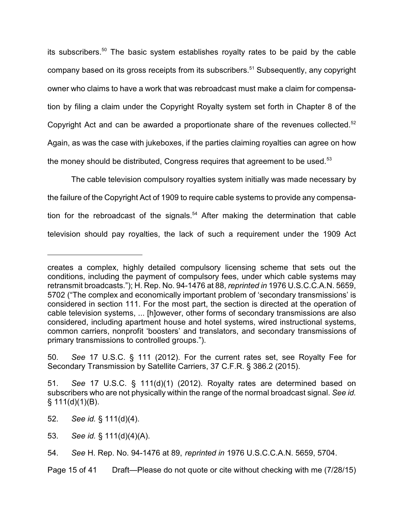its subscribers. $50$  The basic system establishes royalty rates to be paid by the cable company based on its gross receipts from its subscribers.<sup>51</sup> Subsequently, any copyright owner who claims to have a work that was rebroadcast must make a claim for compensation by filing a claim under the Copyright Royalty system set forth in Chapter 8 of the Copyright Act and can be awarded a proportionate share of the revenues collected.<sup>52</sup> Again, as was the case with jukeboxes, if the parties claiming royalties can agree on how the money should be distributed, Congress requires that agreement to be used.<sup>53</sup>

The cable television compulsory royalties system initially was made necessary by the failure of the Copyright Act of 1909 to require cable systems to provide any compensation for the rebroadcast of the signals.<sup>54</sup> After making the determination that cable television should pay royalties, the lack of such a requirement under the 1909 Act

50. *See* 17 U.S.C. § 111 (2012). For the current rates set, see Royalty Fee for Secondary Transmission by Satellite Carriers, 37 C.F.R. § 386.2 (2015).

Page 15 of 41 Draft—Please do not quote or cite without checking with me (7/28/15)

creates a complex, highly detailed compulsory licensing scheme that sets out the conditions, including the payment of compulsory fees, under which cable systems may retransmit broadcasts."); H. Rep. No. 94-1476 at 88, *reprinted in* 1976 U.S.C.C.A.N. 5659, 5702 ("The complex and economically important problem of 'secondary transmissions' is considered in section 111. For the most part, the section is directed at the operation of cable television systems, ... [h]owever, other forms of secondary transmissions are also considered, including apartment house and hotel systems, wired instructional systems, common carriers, nonprofit 'boosters' and translators, and secondary transmissions of primary transmissions to controlled groups.").

<sup>51.</sup> *See* 17 U.S.C. § 111(d)(1) (2012). Royalty rates are determined based on subscribers who are not physically within the range of the normal broadcast signal. *See id.*  $§ 111(d)(1)(B).$ 

<sup>52.</sup> *See id.* § 111(d)(4).

<sup>53.</sup> *See id.* § 111(d)(4)(A).

<sup>54.</sup> *See* H. Rep. No. 94-1476 at 89, *reprinted in* 1976 U.S.C.C.A.N. 5659, 5704.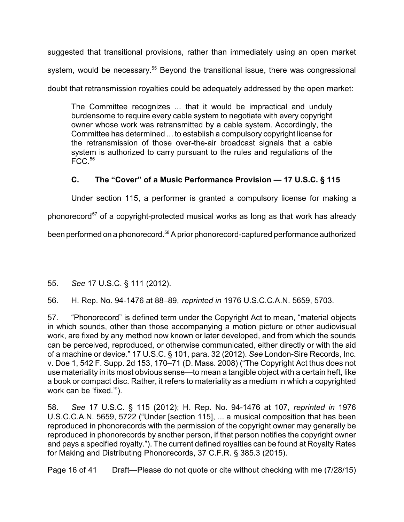suggested that transitional provisions, rather than immediately using an open market system, would be necessary.<sup>55</sup> Beyond the transitional issue, there was congressional doubt that retransmission royalties could be adequately addressed by the open market:

The Committee recognizes ... that it would be impractical and unduly burdensome to require every cable system to negotiate with every copyright owner whose work was retransmitted by a cable system. Accordingly, the Committee has determined ... to establish a compulsory copyright license for the retransmission of those over-the-air broadcast signals that a cable system is authorized to carry pursuant to the rules and regulations of the  $FCC.<sup>56</sup>$ 

# **C. The "Cover" of a Music Performance Provision — 17 U.S.C. § 115**

Under section 115, a performer is granted a compulsory license for making a

phonorecord<sup>57</sup> of a copyright-protected musical works as long as that work has already

been performed on a phonorecord.<sup>58</sup> A prior phonorecord-captured performance authorized

56. H. Rep. No. 94-1476 at 88–89, *reprinted in* 1976 U.S.C.C.A.N. 5659, 5703.

57. "Phonorecord" is defined term under the Copyright Act to mean, "material objects in which sounds, other than those accompanying a motion picture or other audiovisual work, are fixed by any method now known or later developed, and from which the sounds can be perceived, reproduced, or otherwise communicated, either directly or with the aid of a machine or device." 17 U.S.C. § 101, para. 32 (2012). *See* London-Sire Records, Inc. v. Doe 1, 542 F. Supp. 2d 153, 170–71 (D. Mass. 2008) ("The Copyright Act thus does not use materiality in its most obvious sense—to mean a tangible object with a certain heft, like a book or compact disc. Rather, it refers to materiality as a medium in which a copyrighted work can be 'fixed.'").

58. *See* 17 U.S.C. § 115 (2012); H. Rep. No. 94-1476 at 107, *reprinted in* 1976 U.S.C.C.A.N. 5659, 5722 ("Under [section 115], ... a musical composition that has been reproduced in phonorecords with the permission of the copyright owner may generally be reproduced in phonorecords by another person, if that person notifies the copyright owner and pays a specified royalty."). The current defined royalties can be found at Royalty Rates for Making and Distributing Phonorecords, 37 C.F.R. § 385.3 (2015).

Page 16 of 41 Draft—Please do not quote or cite without checking with me (7/28/15)

<sup>55.</sup> *See* 17 U.S.C. § 111 (2012).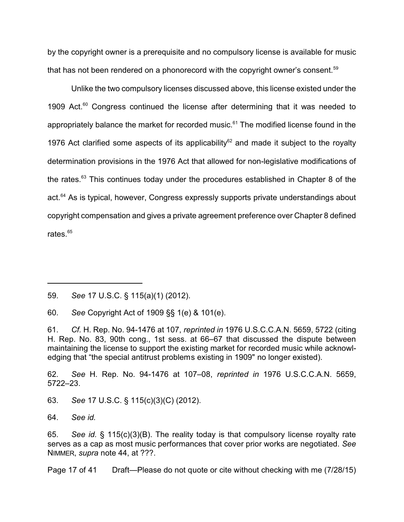by the copyright owner is a prerequisite and no compulsory license is available for music that has not been rendered on a phonorecord with the copyright owner's consent.<sup>59</sup>

Unlike the two compulsory licenses discussed above, this license existed under the 1909 Act. $60$  Congress continued the license after determining that it was needed to appropriately balance the market for recorded music.<sup>61</sup> The modified license found in the 1976 Act clarified some aspects of its applicability $62$  and made it subject to the royalty determination provisions in the 1976 Act that allowed for non-legislative modifications of the rates.<sup>63</sup> This continues today under the procedures established in Chapter 8 of the act.<sup>64</sup> As is typical, however, Congress expressly supports private understandings about copyright compensation and gives a private agreement preference over Chapter 8 defined rates.<sup>65</sup>

62. *See* H. Rep. No. 94-1476 at 107–08, *reprinted in* 1976 U.S.C.C.A.N. 5659, 5722–23.

63. *See* 17 U.S.C. § 115(c)(3)(C) (2012).

64. *See id.*

65. *See id.* § 115(c)(3)(B). The reality today is that compulsory license royalty rate serves as a cap as most music performances that cover prior works are negotiated. *See* NIMMER, *supra* note 44, at ???.

Page 17 of 41 Draft—Please do not quote or cite without checking with me (7/28/15)

<sup>59.</sup> *See* 17 U.S.C. § 115(a)(1) (2012).

<sup>60.</sup> *See* Copyright Act of 1909 §§ 1(e) & 101(e).

<sup>61.</sup> *Cf.* H. Rep. No. 94-1476 at 107, *reprinted in* 1976 U.S.C.C.A.N. 5659, 5722 (citing H. Rep. No. 83, 90th cong., 1st sess. at 66–67 that discussed the dispute between maintaining the license to support the existing market for recorded music while acknowledging that "the special antitrust problems existing in 1909" no longer existed).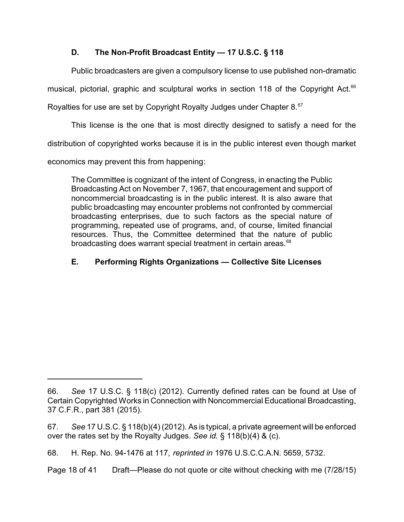# **D. The Non-Profit Broadcast Entity — 17 U.S.C. § 118**

Public broadcasters are given a compulsory license to use published non-dramatic

musical, pictorial, graphic and sculptural works in section 118 of the Copyright Act.<sup>66</sup>

Royalties for use are set by Copyright Royalty Judges under Chapter 8.<sup>67</sup>

This license is the one that is most directly designed to satisfy a need for the

distribution of copyrighted works because it is in the public interest even though market

economics may prevent this from happening:

The Committee is cognizant of the intent of Congress, in enacting the Public Broadcasting Act on November 7, 1967, that encouragement and support of noncommercial broadcasting is in the public interest. It is also aware that public broadcasting may encounter problems not confronted by commercial broadcasting enterprises, due to such factors as the special nature of programming, repeated use of programs, and, of course, limited financial resources. Thus, the Committee determined that the nature of public broadcasting does warrant special treatment in certain areas.<sup>68</sup>

# **E. Performing Rights Organizations — Collective Site Licenses**

<sup>66.</sup> *See* 17 U.S.C. § 118(c) (2012). Currently defined rates can be found at Use of Certain Copyrighted Works in Connection with Noncommercial Educational Broadcasting, 37 C.F.R., part 381 (2015).

<sup>67.</sup> *See* 17 U.S.C. § 118(b)(4) (2012). As is typical, a private agreement will be enforced over the rates set by the Royalty Judges. *See id.* § 118(b)(4) & (c).

<sup>68.</sup> H. Rep. No. 94-1476 at 117, *reprinted in* 1976 U.S.C.C.A.N. 5659, 5732.

Page 18 of 41 Draft—Please do not quote or cite without checking with me (7/28/15)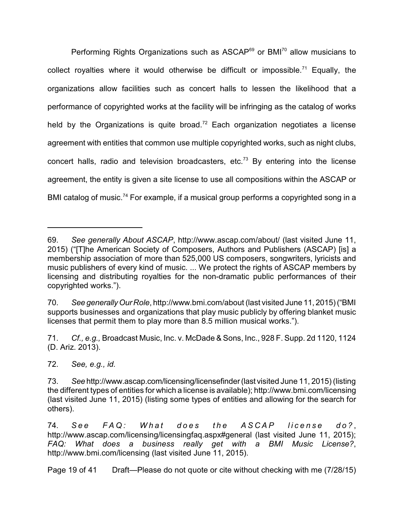Performing Rights Organizations such as ASCAP<sup>69</sup> or BMI<sup>70</sup> allow musicians to collect royalties where it would otherwise be difficult or impossible.<sup>71</sup> Equally, the organizations allow facilities such as concert halls to lessen the likelihood that a performance of copyrighted works at the facility will be infringing as the catalog of works held by the Organizations is quite broad.<sup>72</sup> Each organization negotiates a license agreement with entities that common use multiple copyrighted works, such as night clubs, concert halls, radio and television broadcasters, etc.<sup>73</sup> By entering into the license agreement, the entity is given a site license to use all compositions within the ASCAP or BMI catalog of music.<sup>74</sup> For example, if a musical group performs a copyrighted song in a

72. *See, e.g., id.*

<sup>69.</sup> *See generally About ASCAP*,<http://www.ascap.com/about/> (last visited June 11, 2015) ("[T]he American Society of Composers, Authors and Publishers (ASCAP) [is] a membership association of more than 525,000 US composers, songwriters, lyricists and music publishers of every kind of music. ... We protect the rights of ASCAP members by licensing and distributing royalties for the non-dramatic public performances of their copyrighted works.").

<sup>70.</sup> *See generallyOur Role*, http://www.bmi.com/about (last visited June 11, 2015)("BMI supports businesses and organizations that play music publicly by offering blanket music licenses that permit them to play more than 8.5 million musical works.").

<sup>71.</sup> *Cf., e.g.,* Broadcast Music, Inc. v. McDade & Sons, Inc., 928 F. Supp. 2d 1120, 1124 (D. Ariz. 2013).

<sup>73.</sup> *See* <http://www.ascap.com/licensing/licensefinder>(last visited June 11, 2015) (listing the different types of entities for which a license is available);<http://www.bmi.com/licensing> (last visited June 11, 2015) (listing some types of entities and allowing for the search for others).

<sup>74.</sup> See FAQ: What does the ASCAP license do?, http://www.ascap.com/licensing/licensingfaq.aspx#general (last visited June 11, 2015); *FAQ: What does a business really get with a BMI Music License?*, <http://www.bmi.com/licensing> (last visited June 11, 2015).

Page 19 of 41 Draft—Please do not quote or cite without checking with me (7/28/15)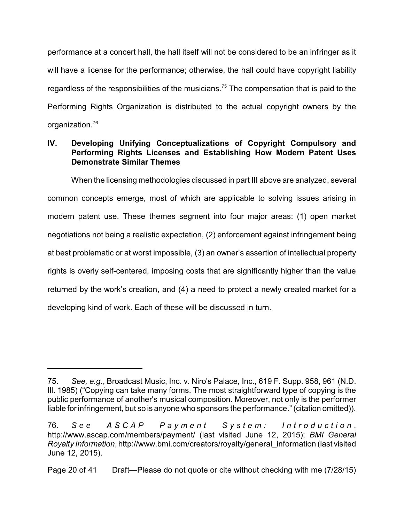performance at a concert hall, the hall itself will not be considered to be an infringer as it will have a license for the performance; otherwise, the hall could have copyright liability regardless of the responsibilities of the musicians.<sup>75</sup> The compensation that is paid to the Performing Rights Organization is distributed to the actual copyright owners by the organization.<sup>76</sup>

#### **IV. Developing Unifying Conceptualizations of Copyright Compulsory and Performing Rights Licenses and Establishing How Modern Patent Uses Demonstrate Similar Themes**

When the licensing methodologies discussed in part III above are analyzed, several common concepts emerge, most of which are applicable to solving issues arising in modern patent use. These themes segment into four major areas: (1) open market negotiations not being a realistic expectation, (2) enforcement against infringement being at best problematic or at worst impossible, (3) an owner's assertion of intellectual property rights is overly self-centered, imposing costs that are significantly higher than the value returned by the work's creation, and (4) a need to protect a newly created market for a developing kind of work. Each of these will be discussed in turn.

<sup>75.</sup> *See, e.g.*, Broadcast Music, Inc. v. Niro's Palace, Inc., 619 F. Supp. 958, 961 (N.D. Ill. 1985) ("Copying can take many forms. The most straightforward type of copying is the public performance of another's musical composition. Moreover, not only is the performer liable for infringement, but so is anyone who sponsors the performance." (citation omitted)).

<sup>76.</sup> See ASCAP Payment System: Introduction, <http://www.ascap.com/members/payment/>(last visited June 12, 2015); *BMI General Royalty Information*, [http://www.bmi.com/creators/royalty/general\\_information](http://www.bmi.com/creators/royalty/general_information) (last visited June 12, 2015).

Page 20 of 41 Draft—Please do not quote or cite without checking with me (7/28/15)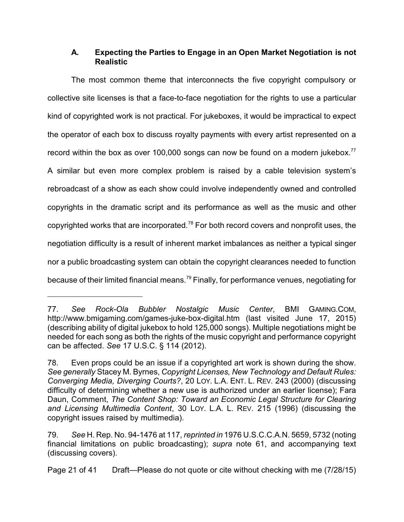## **A. Expecting the Parties to Engage in an Open Market Negotiation is not Realistic**

The most common theme that interconnects the five copyright compulsory or collective site licenses is that a face-to-face negotiation for the rights to use a particular kind of copyrighted work is not practical. For jukeboxes, it would be impractical to expect the operator of each box to discuss royalty payments with every artist represented on a record within the box as over 100,000 songs can now be found on a modern jukebox.<sup>77</sup>

A similar but even more complex problem is raised by a cable television system's rebroadcast of a show as each show could involve independently owned and controlled copyrights in the dramatic script and its performance as well as the music and other copyrighted works that are incorporated.<sup>78</sup> For both record covers and nonprofit uses, the negotiation difficulty is a result of inherent market imbalances as neither a typical singer nor a public broadcasting system can obtain the copyright clearances needed to function because of their limited financial means.<sup>79</sup> Finally, for performance venues, negotiating for

Page 21 of 41 Draft—Please do not quote or cite without checking with me (7/28/15)

<sup>77.</sup> *See Rock-Ola Bubbler Nostalgic Music Center*, BMI GAMING.COM, [http://www.bmigaming.com/games-juke-box-digital.htm](http://www.bmigaming.com/games-jukebox-digital.htm) (last visited June 17, 2015) (describing ability of digital jukebox to hold 125,000 songs). Multiple negotiations might be needed for each song as both the rights of the music copyright and performance copyright can be affected. *See* 17 U.S.C. § 114 (2012).

<sup>78.</sup> Even props could be an issue if a copyrighted art work is shown during the show. *See generally* Stacey M. Byrnes, *Copyright Licenses, New Technology and Default Rules: Converging Media, Diverging Courts?*, 20 LOY. L.A. ENT. L. REV. 243 (2000) (discussing difficulty of determining whether a new use is authorized under an earlier license); Fara Daun, Comment, *The Content Shop: Toward an Economic Legal Structure for Clearing and Licensing Multimedia Content*, 30 LOY. L.A. L. REV. 215 (1996) (discussing the copyright issues raised by multimedia).

<sup>79.</sup> *See* H. Rep. No. 94-1476 at 117, *reprinted in* 1976 U.S.C.C.A.N. 5659, 5732 (noting financial limitations on public broadcasting); *supra* note 61, and accompanying text (discussing covers).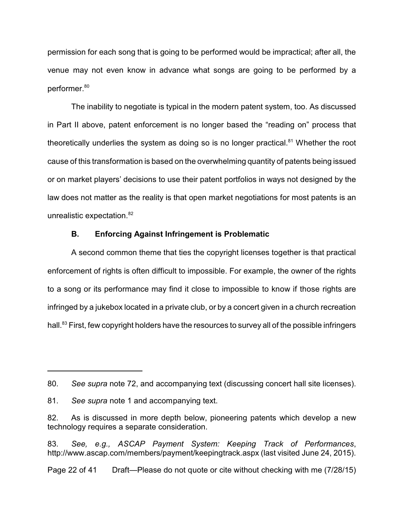permission for each song that is going to be performed would be impractical; after all, the venue may not even know in advance what songs are going to be performed by a performer.<sup>80</sup>

The inability to negotiate is typical in the modern patent system, too. As discussed in Part II above, patent enforcement is no longer based the "reading on" process that theoretically underlies the system as doing so is no longer practical. $81$  Whether the root cause of this transformation is based on the overwhelming quantity of patents being issued or on market players' decisions to use their patent portfolios in ways not designed by the law does not matter as the reality is that open market negotiations for most patents is an unrealistic expectation.<sup>82</sup>

#### **B. Enforcing Against Infringement is Problematic**

A second common theme that ties the copyright licenses together is that practical enforcement of rights is often difficult to impossible. For example, the owner of the rights to a song or its performance may find it close to impossible to know if those rights are infringed by a jukebox located in a private club, or by a concert given in a church recreation hall.<sup>83</sup> First, few copyright holders have the resources to survey all of the possible infringers

<sup>80.</sup> *See supra* note 72, and accompanying text (discussing concert hall site licenses).

<sup>81.</sup> *See supra* note 1 and accompanying text.

<sup>82.</sup> As is discussed in more depth below, pioneering patents which develop a new technology requires a separate consideration.

<sup>83.</sup> *See, e.g., ASCAP Payment System: Keeping Track of Performances*, <http://www.ascap.com/members/payment/keepingtrack.aspx> (last visited June 24, 2015).

Page 22 of 41 Draft—Please do not quote or cite without checking with me (7/28/15)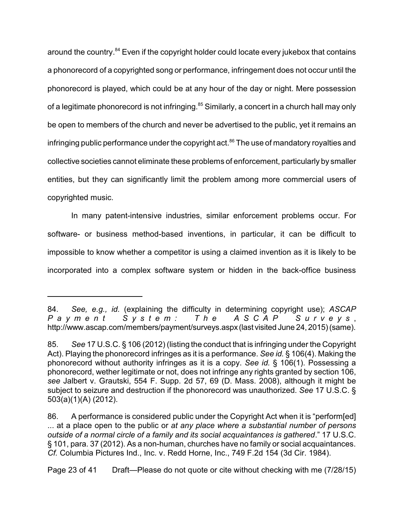around the country.<sup>84</sup> Even if the copyright holder could locate every jukebox that contains a phonorecord of a copyrighted song or performance, infringement does not occur until the phonorecord is played, which could be at any hour of the day or night. Mere possession of a legitimate phonorecord is not infringing.<sup>85</sup> Similarly, a concert in a church hall may only be open to members of the church and never be advertised to the public, yet it remains an infringing public performance under the copyright act.<sup>86</sup> The use of mandatory royalties and collective societies cannot eliminate these problems of enforcement, particularly by smaller entities, but they can significantly limit the problem among more commercial users of copyrighted music.

In many patent-intensive industries, similar enforcement problems occur. For software- or business method-based inventions, in particular, it can be difficult to impossible to know whether a competitor is using a claimed invention as it is likely to be incorporated into a complex software system or hidden in the back-office business

Page 23 of 41 Draft—Please do not quote or cite without checking with me (7/28/15)

<sup>84.</sup> *See, e.g., id.* (explaining the difficulty in determining copyright use); *ASCAP* Payment System: The ASCAP Surveys, <http://www.ascap.com/members/payment/surveys.aspx>(last visited June 24, 2015)(same).

<sup>85.</sup> *See* 17 U.S.C. § 106 (2012) (listing the conduct that is infringing under the Copyright Act). Playing the phonorecord infringes as it is a performance. *See id.* § 106(4). Making the phonorecord without authority infringes as it is a copy. *See id.* § 106(1). Possessing a phonorecord, wether legitimate or not, does not infringe any rights granted by section 106, *see* Jalbert v. Grautski, 554 F. Supp. 2d 57, 69 (D. Mass. 2008), although it might be subject to seizure and destruction if the phonorecord was unauthorized. *See* 17 U.S.C. § 503(a)(1)(A) (2012).

<sup>86.</sup> A performance is considered public under the Copyright Act when it is "perform[ed] ... at a place open to the public or *at any place where a substantial number of persons outside of a normal circle of a family and its social acquaintances is gathered*." 17 U.S.C. § 101, para. 37 (2012). As a non-human, churches have no family or social acquaintances. *Cf.* Columbia Pictures Ind., Inc. v. Redd Horne, Inc., 749 F.2d 154 (3d Cir. 1984).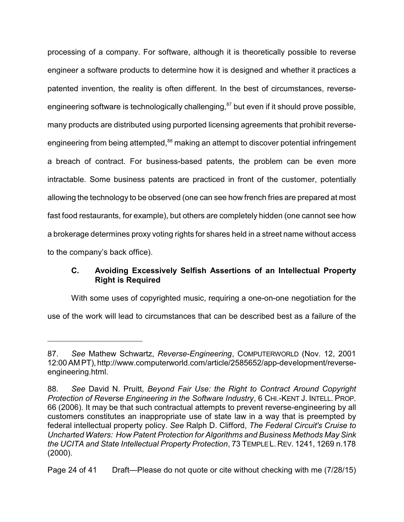processing of a company. For software, although it is theoretically possible to reverse engineer a software products to determine how it is designed and whether it practices a patented invention, the reality is often different. In the best of circumstances, reverseengineering software is technologically challenging,<sup>87</sup> but even if it should prove possible, many products are distributed using purported licensing agreements that prohibit reverseengineering from being attempted,<sup>88</sup> making an attempt to discover potential infringement a breach of contract. For business-based patents, the problem can be even more intractable. Some business patents are practiced in front of the customer, potentially allowing the technology to be observed (one can see how french fries are prepared at most fast food restaurants, for example), but others are completely hidden (one cannot see how a brokerage determines proxy voting rights for shares held in a street name without access to the company's back office).

#### **C. Avoiding Excessively Selfish Assertions of an Intellectual Property Right is Required**

With some uses of copyrighted music, requiring a one-on-one negotiation for the use of the work will lead to circumstances that can be described best as a failure of the

<sup>87.</sup> *See* Mathew Schwartz, *Reverse-Engineering*, COMPUTERWORLD (Nov. 12, 2001 12:00AM PT), http://www.computerworld.com/article/2585652/app-development/reverseengineering.html.

<sup>88.</sup> *See* David N. Pruitt, *Beyond Fair Use: the Right to Contract Around Copyright Protection of Reverse Engineering in the Software Industry*, 6 CHI.-KENT J. INTELL. PROP. 66 (2006). It may be that such contractual attempts to prevent reverse-engineering by all customers constitutes an inappropriate use of state law in a way that is preempted by federal intellectual property policy. *See* Ralph D. Clifford, *The Federal Circuit's Cruise to Uncharted Waters: How Patent Protection for Algorithms and Business Methods May Sink the UCITA and State Intellectual Property Protection*, 73 TEMPLEL. REV. 1241, 1269 n.178 (2000).

Page 24 of 41 Draft—Please do not quote or cite without checking with me (7/28/15)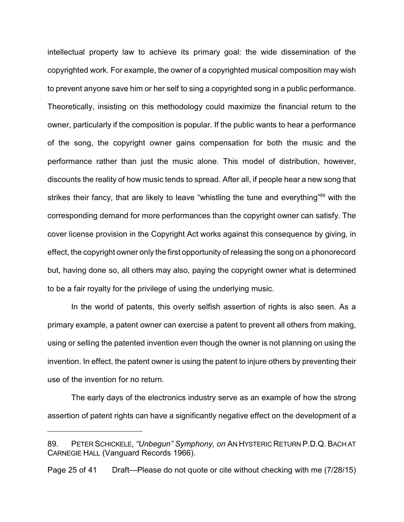intellectual property law to achieve its primary goal: the wide dissemination of the copyrighted work. For example, the owner of a copyrighted musical composition may wish to prevent anyone save him or her self to sing a copyrighted song in a public performance. Theoretically, insisting on this methodology could maximize the financial return to the owner, particularly if the composition is popular. If the public wants to hear a performance of the song, the copyright owner gains compensation for both the music and the performance rather than just the music alone. This model of distribution, however, discounts the reality of how music tends to spread. After all, if people hear a new song that strikes their fancy, that are likely to leave "whistling the tune and everything"<sup>89</sup> with the corresponding demand for more performances than the copyright owner can satisfy. The cover license provision in the Copyright Act works against this consequence by giving, in effect, the copyright owner only the first opportunity of releasing the song on a phonorecord but, having done so, all others may also, paying the copyright owner what is determined to be a fair royalty for the privilege of using the underlying music.

In the world of patents, this overly selfish assertion of rights is also seen. As a primary example, a patent owner can exercise a patent to prevent all others from making, using or selling the patented invention even though the owner is not planning on using the invention. In effect, the patent owner is using the patent to injure others by preventing their use of the invention for no return.

The early days of the electronics industry serve as an example of how the strong assertion of patent rights can have a significantly negative effect on the development of a

Page 25 of 41 Draft—Please do not quote or cite without checking with me (7/28/15)

<sup>89.</sup> PETER SCHICKELE, *"Unbegun" Symphony, on* AN HYSTERIC RETURN P.D.Q. BACH AT CARNEGIE HALL (Vanguard Records 1966).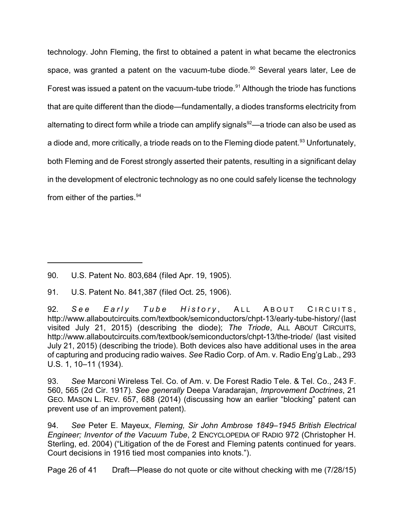technology. John Fleming, the first to obtained a patent in what became the electronics space, was granted a patent on the vacuum-tube diode.<sup>90</sup> Several years later, Lee de Forest was issued a patent on the vacuum-tube triode.<sup>91</sup> Although the triode has functions that are quite different than the diode—fundamentally, a diodes transforms electricity from alternating to direct form while a triode can amplify signals $92-$ a triode can also be used as a diode and, more critically, a triode reads on to the Fleming diode patent.<sup>93</sup> Unfortunately, both Fleming and de Forest strongly asserted their patents, resulting in a significant delay in the development of electronic technology as no one could safely license the technology from either of the parties.  $94$ 

91. U.S. Patent No. 841,387 (filed Oct. 25, 1906).

92. *See Early Tube History*, ALL ABOUT CIRCUITS, http://www.allaboutcircuits.com/textbook/semiconductors/chpt-13/early-tube-history/ (last visited July 21, 2015) (describing the diode); *The Triode*, ALL ABOUT CIRCUITS, http://www.allaboutcircuits.com/textbook/semiconductors/chpt-13/the-triode/ (last visited July 21, 2015) (describing the triode). Both devices also have additional uses in the area of capturing and producing radio waives. *See* Radio Corp. of Am. v. Radio Eng'g Lab., 293 U.S. 1, 10–11 (1934).

93. *See* Marconi Wireless Tel. Co. of Am. v. De Forest Radio Tele. & Tel. Co., 243 F. 560, 565 (2d Cir. 1917). *See generally* Deepa Varadarajan, *Improvement Doctrines*, 21 GEO. MASON L. REV. 657, 688 (2014) (discussing how an earlier "blocking" patent can prevent use of an improvement patent).

94. *See* Peter E. Mayeux, *Fleming, Sir John Ambrose 1849–1945 British Electrical Engineer; Inventor of the Vacuum Tube*, 2 ENCYCLOPEDIA OF RADIO 972 (Christopher H. Sterling, ed. 2004) ("Litigation of the de Forest and Fleming patents continued for years. Court decisions in 1916 tied most companies into knots.").

Page 26 of 41 Draft—Please do not quote or cite without checking with me (7/28/15)

<sup>90.</sup> U.S. Patent No. 803,684 (filed Apr. 19, 1905).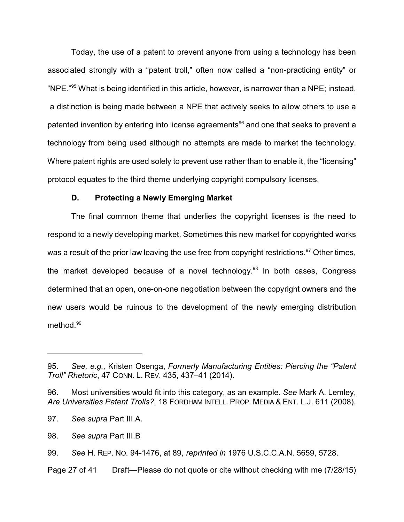Today, the use of a patent to prevent anyone from using a technology has been associated strongly with a "patent troll," often now called a "non-practicing entity" or "NPE."<sup>95</sup> What is being identified in this article, however, is narrower than a NPE; instead, a distinction is being made between a NPE that actively seeks to allow others to use a patented invention by entering into license agreements $^{\textrm{\tiny{96}}}$  and one that seeks to prevent a technology from being used although no attempts are made to market the technology. Where patent rights are used solely to prevent use rather than to enable it, the "licensing" protocol equates to the third theme underlying copyright compulsory licenses.

#### **D. Protecting a Newly Emerging Market**

The final common theme that underlies the copyright licenses is the need to respond to a newly developing market. Sometimes this new market for copyrighted works was a result of the prior law leaving the use free from copyright restrictions.<sup>97</sup> Other times, the market developed because of a novel technology.<sup>98</sup> In both cases, Congress determined that an open, one-on-one negotiation between the copyright owners and the new users would be ruinous to the development of the newly emerging distribution method.<sup>99</sup>

Page 27 of 41 Draft—Please do not quote or cite without checking with me (7/28/15)

<sup>95.</sup> *See, e.g.,* Kristen Osenga, *Formerly Manufacturing Entities: Piercing the "Patent Troll" Rhetoric*, 47 CONN. L. REV. 435, 437–41 (2014).

<sup>96.</sup> Most universities would fit into this category, as an example. *See* Mark A. Lemley, *Are Universities Patent Trolls?*, 18 FORDHAM INTELL. PROP. MEDIA & ENT. L.J. 611 (2008).

<sup>97.</sup> *See supra* Part III.A.

<sup>98.</sup> *See supra* Part III.B

<sup>99.</sup> *See* H. REP. NO. 94-1476, at 89, *reprinted in* 1976 U.S.C.C.A.N. 5659, 5728.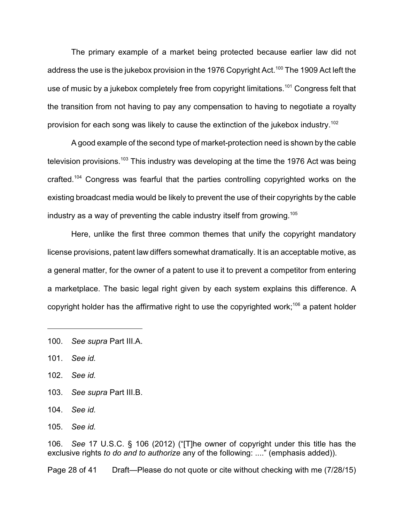The primary example of a market being protected because earlier law did not address the use is the jukebox provision in the 1976 Copyright Act.<sup>100</sup> The 1909 Act left the use of music by a jukebox completely free from copyright limitations.<sup>101</sup> Congress felt that the transition from not having to pay any compensation to having to negotiate a royalty provision for each song was likely to cause the extinction of the jukebox industry.<sup>102</sup>

A good example of the second type of market-protection need is shown by the cable television provisions.<sup>103</sup> This industry was developing at the time the 1976 Act was being crafted.<sup>104</sup> Congress was fearful that the parties controlling copyrighted works on the existing broadcast media would be likely to prevent the use of their copyrights by the cable industry as a way of preventing the cable industry itself from growing. 105

Here, unlike the first three common themes that unify the copyright mandatory license provisions, patent law differs somewhat dramatically. It is an acceptable motive, as a general matter, for the owner of a patent to use it to prevent a competitor from entering a marketplace. The basic legal right given by each system explains this difference. A copyright holder has the affirmative right to use the copyrighted work;<sup>106</sup> a patent holder

- 103. *See supra* Part III.B.
- 104. *See id.*

105. *See id.*

106. *See* 17 U.S.C. § 106 (2012) ("[T]he owner of copyright under this title has the exclusive rights *to do and to authorize* any of the following: ...." (emphasis added)).

Page 28 of 41 Draft—Please do not quote or cite without checking with me (7/28/15)

<sup>100.</sup> *See supra* Part III.A.

<sup>101.</sup> *See id.*

<sup>102.</sup> *See id.*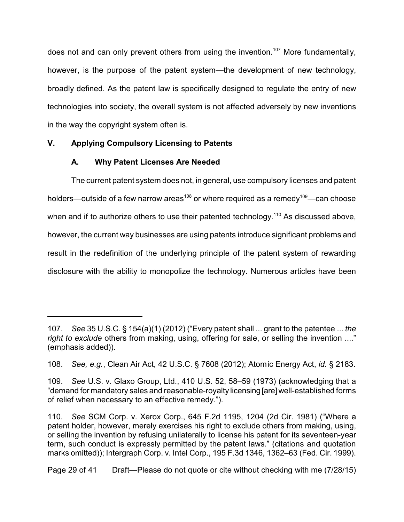does not and can only prevent others from using the invention.<sup>107</sup> More fundamentally, however, is the purpose of the patent system—the development of new technology, broadly defined. As the patent law is specifically designed to regulate the entry of new technologies into society, the overall system is not affected adversely by new inventions in the way the copyright system often is.

# **V. Applying Compulsory Licensing to Patents**

# **A. Why Patent Licenses Are Needed**

The current patent system does not, in general, use compulsory licenses and patent holders—outside of a few narrow areas $^{\rm 108}$  or where required as a remedy $^{\rm 109}$ —can choose when and if to authorize others to use their patented technology.<sup>110</sup> As discussed above, however, the current way businesses are using patents introduce significant problems and result in the redefinition of the underlying principle of the patent system of rewarding disclosure with the ability to monopolize the technology. Numerous articles have been

<sup>107.</sup> *See* 35 U.S.C. § 154(a)(1) (2012) ("Every patent shall ... grant to the patentee ... *the right to exclude* others from making, using, offering for sale, or selling the invention ...." (emphasis added)).

<sup>108.</sup> *See, e.g.*, Clean Air Act, 42 U.S.C. § 7608 (2012); Atomic Energy Act, *id.* § 2183.

<sup>109.</sup> *See* U.S. v. Glaxo Group, Ltd., 410 U.S. 52, 58–59 (1973) (acknowledging that a "demand for mandatory sales and reasonable-royalty licensing [are] well-established forms of relief when necessary to an effective remedy.").

<sup>110.</sup> *See* SCM Corp. v. Xerox Corp., 645 F.2d 1195, 1204 (2d Cir. 1981) ("Where a patent holder, however, merely exercises his right to exclude others from making, using, or selling the invention by refusing unilaterally to license his patent for its seventeen-year term, such conduct is expressly permitted by the patent laws." (citations and quotation marks omitted)); Intergraph Corp. v. Intel Corp., 195 F.3d 1346, 1362–63 (Fed. Cir. 1999).

Page 29 of 41 Draft—Please do not quote or cite without checking with me (7/28/15)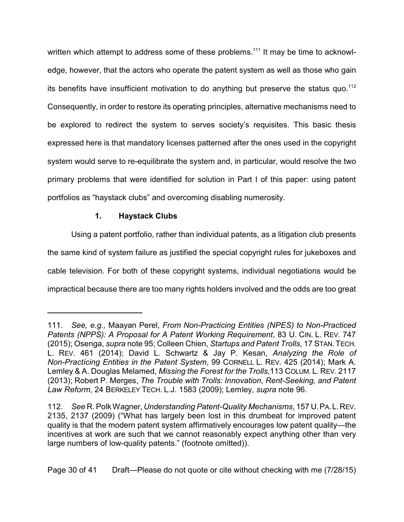written which attempt to address some of these problems.<sup>111</sup> It may be time to acknowledge, however, that the actors who operate the patent system as well as those who gain its benefits have insufficient motivation to do anything but preserve the status quo.<sup>112</sup> Consequently, in order to restore its operating principles, alternative mechanisms need to be explored to redirect the system to serves society's requisites. This basic thesis expressed here is that mandatory licenses patterned after the ones used in the copyright system would serve to re-equilibrate the system and, in particular, would resolve the two primary problems that were identified for solution in Part I of this paper: using patent portfolios as "haystack clubs" and overcoming disabling numerosity.

## **1. Haystack Clubs**

Using a patent portfolio, rather than individual patents, as a litigation club presents the same kind of system failure as justified the special copyright rules for jukeboxes and cable television. For both of these copyright systems, individual negotiations would be impractical because there are too many rights holders involved and the odds are too great

<sup>111.</sup> *See, e.g.,* Maayan Perel, *From Non-Practicing Entities (NPES) to Non-Practiced Patents (NPPS): A Proposal for A Patent Working Requirement*, 83 U. CIN. L. REV. 747 (2015); Osenga, *supra* note 95; Colleen Chien, *Startups and Patent Trolls*, 17 STAN.TECH. L. REV. 461 (2014); David L. Schwartz & Jay P. Kesan, *Analyzing the Role of Non-Practicing Entities in the Patent System*, 99 CORNELL L. REV. 425 (2014); Mark A. Lemley & A. Douglas Melamed, *Missing the Forest for the Trolls*,113 COLUM. L. REV. 2117 (2013); Robert P. Merges, *The Trouble with Trolls: Innovation, Rent-Seeking, and Patent Law Reform*, 24 BERKELEY TECH. L.J. 1583 (2009); Lemley, *supra* note 96.

<sup>112.</sup> *See* R. Polk Wagner, *Understanding Patent-Quality Mechanisms*, 157 U.PA.L.REV. 2135, 2137 (2009) ("What has largely been lost in this drumbeat for improved patent quality is that the modern patent system affirmatively encourages low patent quality—the incentives at work are such that we cannot reasonably expect anything other than very large numbers of low-quality patents." (footnote omitted)).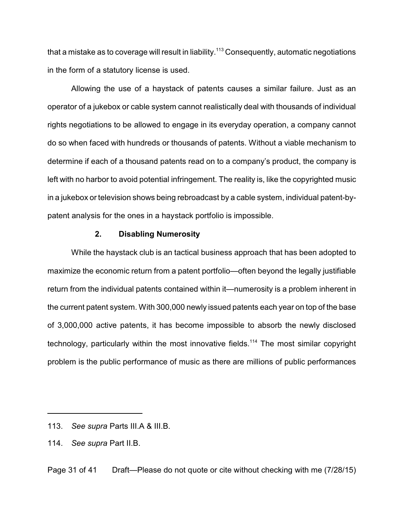that a mistake as to coverage will result in liability. $^{113}$  Consequently, automatic negotiations in the form of a statutory license is used.

Allowing the use of a haystack of patents causes a similar failure. Just as an operator of a jukebox or cable system cannot realistically deal with thousands of individual rights negotiations to be allowed to engage in its everyday operation, a company cannot do so when faced with hundreds or thousands of patents. Without a viable mechanism to determine if each of a thousand patents read on to a company's product, the company is left with no harbor to avoid potential infringement. The reality is, like the copyrighted music in a jukebox or television shows being rebroadcast by a cable system, individual patent-bypatent analysis for the ones in a haystack portfolio is impossible.

#### **2. Disabling Numerosity**

While the haystack club is an tactical business approach that has been adopted to maximize the economic return from a patent portfolio—often beyond the legally justifiable return from the individual patents contained within it—numerosity is a problem inherent in the current patent system. With 300,000 newly issued patents each year on top of the base of 3,000,000 active patents, it has become impossible to absorb the newly disclosed technology, particularly within the most innovative fields.<sup>114</sup> The most similar copyright problem is the public performance of music as there are millions of public performances

Page 31 of 41 Draft—Please do not quote or cite without checking with me (7/28/15)

<sup>113.</sup> *See supra* Parts III.A & III.B.

<sup>114.</sup> *See supra* Part II.B.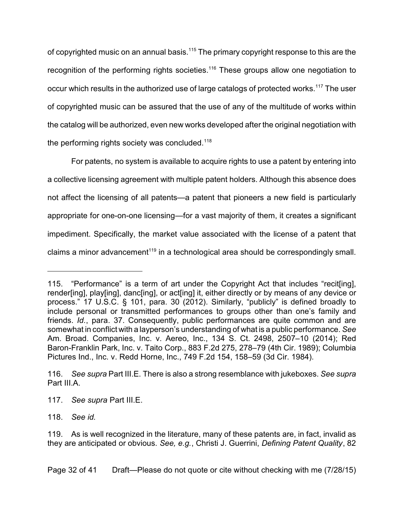of copyrighted music on an annual basis.<sup>115</sup> The primary copyright response to this are the recognition of the performing rights societies.<sup>116</sup> These groups allow one negotiation to occur which results in the authorized use of large catalogs of protected works.<sup>117</sup> The user of copyrighted music can be assured that the use of any of the multitude of works within the catalog will be authorized, even new works developed after the original negotiation with the performing rights society was concluded.<sup>118</sup>

For patents, no system is available to acquire rights to use a patent by entering into a collective licensing agreement with multiple patent holders. Although this absence does not affect the licensing of all patents—a patent that pioneers a new field is particularly appropriate for one-on-one licensing—for a vast majority of them, it creates a significant impediment. Specifically, the market value associated with the license of a patent that claims a minor advancement<sup>119</sup> in a technological area should be correspondingly small.

Page 32 of 41 Draft—Please do not quote or cite without checking with me (7/28/15)

<sup>115.</sup> "Performance" is a term of art under the Copyright Act that includes "recit[ing], render[ing], play[ing], danc[ing], or act[ing] it, either directly or by means of any device or process." 17 U.S.C. § 101, para. 30 (2012). Similarly, "publicly" is defined broadly to include personal or transmitted performances to groups other than one's family and friends. *Id.*, para. 37. Consequently, public performances are quite common and are somewhat in conflict with a layperson's understanding of what is a public performance. *See* Am. Broad. Companies, Inc. v. Aereo, Inc., 134 S. Ct. 2498, 2507–10 (2014); Red Baron-Franklin Park, Inc. v. Taito Corp., 883 F.2d 275, 278–79 (4th Cir. 1989); Columbia Pictures Ind., Inc. v. Redd Horne, Inc., 749 F.2d 154, 158–59 (3d Cir. 1984).

<sup>116.</sup> *See supra* Part III.E. There is also a strong resemblance with jukeboxes. *See supra* Part III.A.

<sup>117.</sup> *See supra* Part III.E.

<sup>118.</sup> *See id.*

<sup>119.</sup> As is well recognized in the literature, many of these patents are, in fact, invalid as they are anticipated or obvious. *See, e.g.*, Christi J. Guerrini, *Defining Patent Quality*, 82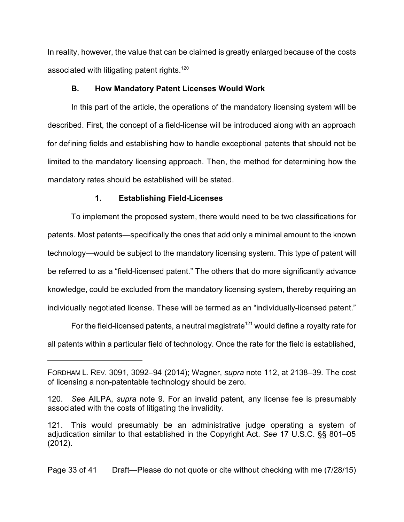In reality, however, the value that can be claimed is greatly enlarged because of the costs associated with litigating patent rights.<sup>120</sup>

#### **B. How Mandatory Patent Licenses Would Work**

In this part of the article, the operations of the mandatory licensing system will be described. First, the concept of a field-license will be introduced along with an approach for defining fields and establishing how to handle exceptional patents that should not be limited to the mandatory licensing approach. Then, the method for determining how the mandatory rates should be established will be stated.

#### **1. Establishing Field-Licenses**

To implement the proposed system, there would need to be two classifications for patents. Most patents—specifically the ones that add only a minimal amount to the known technology—would be subject to the mandatory licensing system. This type of patent will be referred to as a "field-licensed patent." The others that do more significantly advance knowledge, could be excluded from the mandatory licensing system, thereby requiring an individually negotiated license. These will be termed as an "individually-licensed patent."

For the field-licensed patents, a neutral magistrate<sup>121</sup> would define a royalty rate for all patents within a particular field of technology. Once the rate for the field is established,

Page 33 of 41 Draft—Please do not quote or cite without checking with me (7/28/15)

FORDHAM L. REV. 3091, 3092–94 (2014); Wagner, *supra* note 112, at 2138–39. The cost of licensing a non-patentable technology should be zero.

<sup>120.</sup> *See* AILPA, *supra* note 9. For an invalid patent, any license fee is presumably associated with the costs of litigating the invalidity.

<sup>121.</sup> This would presumably be an administrative judge operating a system of adjudication similar to that established in the Copyright Act. *See* 17 U.S.C. §§ 801–05 (2012).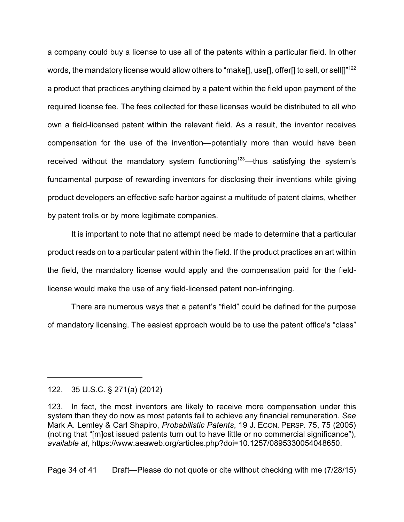a company could buy a license to use all of the patents within a particular field. In other words, the mandatory license would allow others to "make<sup>[]</sup>, use<sup>[]</sup>, offer<sup>[]</sup> to sell, or sell<sup>[]"122</sup> a product that practices anything claimed by a patent within the field upon payment of the required license fee. The fees collected for these licenses would be distributed to all who own a field-licensed patent within the relevant field. As a result, the inventor receives compensation for the use of the invention—potentially more than would have been received without the mandatory system functioning<sup>123</sup>—thus satisfying the system's fundamental purpose of rewarding inventors for disclosing their inventions while giving product developers an effective safe harbor against a multitude of patent claims, whether by patent trolls or by more legitimate companies.

It is important to note that no attempt need be made to determine that a particular product reads on to a particular patent within the field. If the product practices an art within the field, the mandatory license would apply and the compensation paid for the fieldlicense would make the use of any field-licensed patent non-infringing.

There are numerous ways that a patent's "field" could be defined for the purpose of mandatory licensing. The easiest approach would be to use the patent office's "class"

122. 35 U.S.C. § 271(a) (2012)

Page 34 of 41 Draft—Please do not quote or cite without checking with me (7/28/15)

<sup>123.</sup> In fact, the most inventors are likely to receive more compensation under this system than they do now as most patents fail to achieve any financial remuneration. *See* Mark A. Lemley & Carl Shapiro, *Probabilistic Patents*, 19 J. ECON. PERSP. 75, 75 (2005) (noting that "[m]ost issued patents turn out to have little or no commercial significance"), *available at*, https://www.aeaweb.org/articles.php?doi=10.1257/0895330054048650.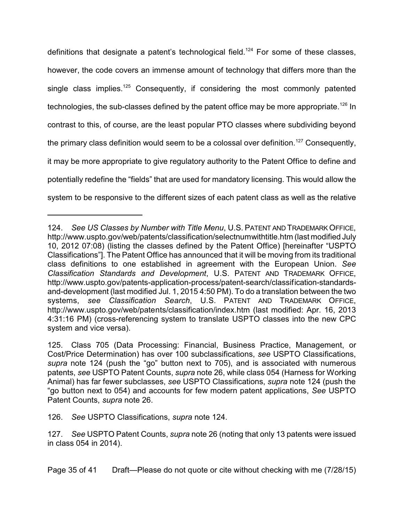definitions that designate a patent's technological field.<sup>124</sup> For some of these classes, however, the code covers an immense amount of technology that differs more than the single class implies.<sup>125</sup> Consequently, if considering the most commonly patented technologies, the sub-classes defined by the patent office may be more appropriate. $^{126}$  In contrast to this, of course, are the least popular PTO classes where subdividing beyond the primary class definition would seem to be a colossal over definition.<sup>127</sup> Consequently, it may be more appropriate to give regulatory authority to the Patent Office to define and potentially redefine the "fields" that are used for mandatory licensing. This would allow the system to be responsive to the different sizes of each patent class as well as the relative

<sup>124.</sup> *See US Classes by Number with Title Menu*, U.S. PATENT AND TRADEMARK OFFICE, http://www.uspto.gov/web/patents/classification/selectnumwithtitle.htm (last modified July 10, 2012 07:08) (listing the classes defined by the Patent Office) [hereinafter "USPTO Classifications"]. The Patent Office has announced that it will be moving from its traditional class definitions to one established in agreement with the European Union. *See Classification Standards and Development*, U.S. PATENT AND TRADEMARK OFFICE, http://www.uspto.gov/patents-application-process/patent-search/classification-standardsand-development (last modified Jul. 1, 2015 4:50 PM). To do a translation between the two systems, *see Classification Search*, U.S. PATENT AND TRADEMARK OFFICE, http://www.uspto.gov/web/patents/classification/index.htm (last modified: Apr. 16, 2013 4:31:16 PM) (cross-referencing system to translate USPTO classes into the new CPC system and vice versa).

<sup>125.</sup> Class 705 (Data Processing: Financial, Business Practice, Management, or Cost/Price Determination) has over 100 subclassifications, *see* USPTO Classifications, *supra* note 124 (push the "go" button next to 705), and is associated with numerous patents, *see* USPTO Patent Counts, *supra* note 26, while class 054 (Harness for Working Animal) has far fewer subclasses, *see* USPTO Classifications, *supra* note 124 (push the "go button next to 054) and accounts for few modern patent applications, *See* USPTO Patent Counts, *supra* note 26.

<sup>126.</sup> *See* USPTO Classifications, *supra* note 124.

<sup>127.</sup> *See* USPTO Patent Counts, *supra* note 26 (noting that only 13 patents were issued in class 054 in 2014).

Page 35 of 41 Draft—Please do not quote or cite without checking with me (7/28/15)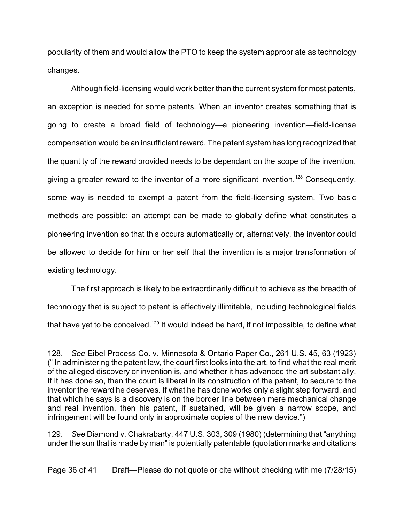popularity of them and would allow the PTO to keep the system appropriate as technology changes.

Although field-licensing would work better than the current system for most patents, an exception is needed for some patents. When an inventor creates something that is going to create a broad field of technology—a pioneering invention—field-license compensation would be an insufficient reward. The patent system has long recognized that the quantity of the reward provided needs to be dependant on the scope of the invention, giving a greater reward to the inventor of a more significant invention.<sup>128</sup> Consequently, some way is needed to exempt a patent from the field-licensing system. Two basic methods are possible: an attempt can be made to globally define what constitutes a pioneering invention so that this occurs automatically or, alternatively, the inventor could be allowed to decide for him or her self that the invention is a major transformation of existing technology.

The first approach is likely to be extraordinarily difficult to achieve as the breadth of technology that is subject to patent is effectively illimitable, including technological fields that have yet to be conceived.<sup>129</sup> It would indeed be hard, if not impossible, to define what

<sup>128.</sup> *See* Eibel Process Co. v. Minnesota & Ontario Paper Co., 261 U.S. 45, 63 (1923) (" In administering the patent law, the court first looks into the art, to find what the real merit of the alleged discovery or invention is, and whether it has advanced the art substantially. If it has done so, then the court is liberal in its construction of the patent, to secure to the inventor the reward he deserves. If what he has done works only a slight step forward, and that which he says is a discovery is on the border line between mere mechanical change and real invention, then his patent, if sustained, will be given a narrow scope, and infringement will be found only in approximate copies of the new device.")

<sup>129.</sup> *See* Diamond v. Chakrabarty, 447 U.S. 303, 309 (1980) (determining that "anything under the sun that is made by man" is potentially patentable (quotation marks and citations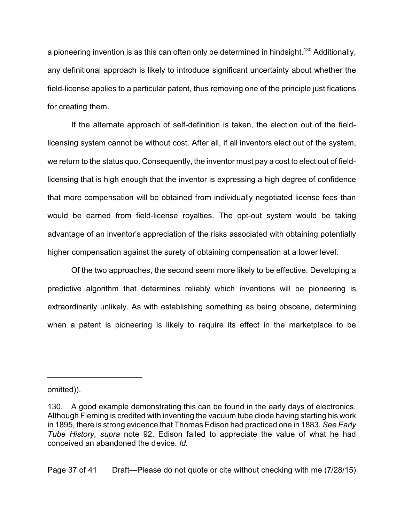a pioneering invention is as this can often only be determined in hindsight.<sup>130</sup> Additionally, any definitional approach is likely to introduce significant uncertainty about whether the field-license applies to a particular patent, thus removing one of the principle justifications for creating them.

If the alternate approach of self-definition is taken, the election out of the fieldlicensing system cannot be without cost. After all, if all inventors elect out of the system, we return to the status quo. Consequently, the inventor must pay a cost to elect out of fieldlicensing that is high enough that the inventor is expressing a high degree of confidence that more compensation will be obtained from individually negotiated license fees than would be earned from field-license royalties. The opt-out system would be taking advantage of an inventor's appreciation of the risks associated with obtaining potentially higher compensation against the surety of obtaining compensation at a lower level.

Of the two approaches, the second seem more likely to be effective. Developing a predictive algorithm that determines reliably which inventions will be pioneering is extraordinarily unlikely. As with establishing something as being obscene, determining when a patent is pioneering is likely to require its effect in the marketplace to be

Page 37 of 41 Draft—Please do not quote or cite without checking with me (7/28/15)

omitted)).

<sup>130.</sup> A good example demonstrating this can be found in the early days of electronics. Although Fleming is credited with inventing the vacuum tube diode having starting his work in 1895, there is strong evidence that Thomas Edison had practiced one in 1883. *See Early Tube History, supra* note 92. Edison failed to appreciate the value of what he had conceived an abandoned the device. *Id.*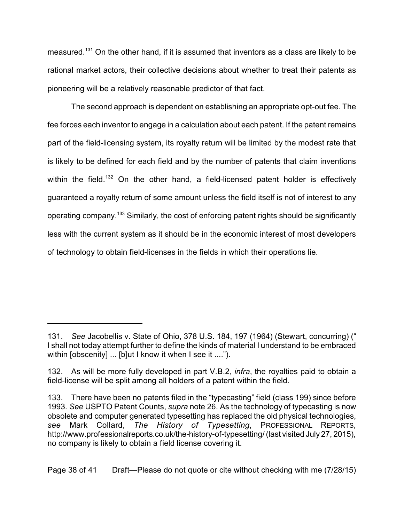measured.<sup>131</sup> On the other hand, if it is assumed that inventors as a class are likely to be rational market actors, their collective decisions about whether to treat their patents as pioneering will be a relatively reasonable predictor of that fact.

The second approach is dependent on establishing an appropriate opt-out fee. The fee forces each inventor to engage in a calculation about each patent. If the patent remains part of the field-licensing system, its royalty return will be limited by the modest rate that is likely to be defined for each field and by the number of patents that claim inventions within the field.<sup>132</sup> On the other hand, a field-licensed patent holder is effectively guaranteed a royalty return of some amount unless the field itself is not of interest to any operating company.<sup>133</sup> Similarly, the cost of enforcing patent rights should be significantly less with the current system as it should be in the economic interest of most developers of technology to obtain field-licenses in the fields in which their operations lie.

<sup>131.</sup> *See* Jacobellis v. State of Ohio, 378 U.S. 184, 197 (1964) (Stewart, concurring) (" I shall not today attempt further to define the kinds of material I understand to be embraced within [obscenity] ... [b]ut I know it when I see it ....").

<sup>132.</sup> As will be more fully developed in part V.B.2, *infra*, the royalties paid to obtain a field-license will be split among all holders of a patent within the field.

<sup>133.</sup> There have been no patents filed in the "typecasting" field (class 199) since before 1993. *See* USPTO Patent Counts, *supra* note 26. As the technology of typecasting is now obsolete and computer generated typesetting has replaced the old physical technologies, *see* Mark Collard, *The History of Typesetting*, PROFESSIONAL REPORTS, http://www.professionalreports.co.uk/the-history-of-typesetting/ (last visited July 27, 2015), no company is likely to obtain a field license covering it.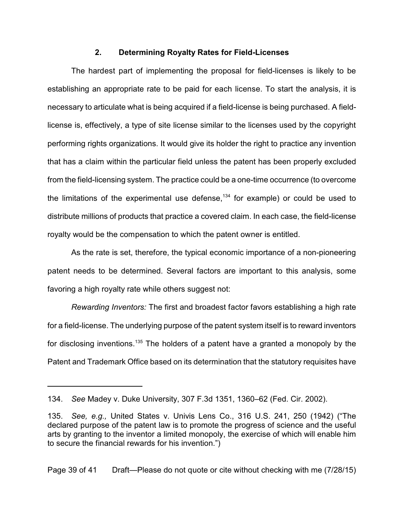#### **2. Determining Royalty Rates for Field-Licenses**

The hardest part of implementing the proposal for field-licenses is likely to be establishing an appropriate rate to be paid for each license. To start the analysis, it is necessary to articulate what is being acquired if a field-license is being purchased. A fieldlicense is, effectively, a type of site license similar to the licenses used by the copyright performing rights organizations. It would give its holder the right to practice any invention that has a claim within the particular field unless the patent has been properly excluded from the field-licensing system. The practice could be a one-time occurrence (to overcome the limitations of the experimental use defense, $^{134}$  for example) or could be used to distribute millions of products that practice a covered claim. In each case, the field-license royalty would be the compensation to which the patent owner is entitled.

As the rate is set, therefore, the typical economic importance of a non-pioneering patent needs to be determined. Several factors are important to this analysis, some favoring a high royalty rate while others suggest not:

*Rewarding Inventors:* The first and broadest factor favors establishing a high rate for a field-license. The underlying purpose of the patent system itself is to reward inventors for disclosing inventions.<sup>135</sup> The holders of a patent have a granted a monopoly by the Patent and Trademark Office based on its determination that the statutory requisites have

Page 39 of 41 Draft—Please do not quote or cite without checking with me (7/28/15)

<sup>134.</sup> *See* Madey v. Duke University, 307 F.3d 1351, 1360–62 (Fed. Cir. 2002).

<sup>135.</sup> *See, e.g.,* United States v. Univis Lens Co., 316 U.S. 241, 250 (1942) ("The declared purpose of the patent law is to promote the progress of science and the useful arts by granting to the inventor a limited monopoly, the exercise of which will enable him to secure the financial rewards for his invention.")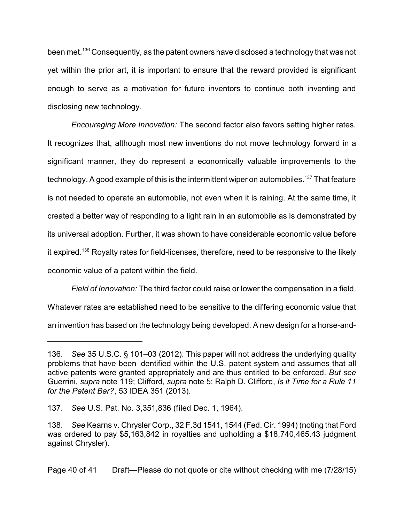been met.<sup>136</sup> Consequently, as the patent owners have disclosed a technology that was not yet within the prior art, it is important to ensure that the reward provided is significant enough to serve as a motivation for future inventors to continue both inventing and disclosing new technology.

*Encouraging More Innovation:* The second factor also favors setting higher rates. It recognizes that, although most new inventions do not move technology forward in a significant manner, they do represent a economically valuable improvements to the technology. A good example of this is the intermittent wiper on automobiles.<sup>137</sup> That feature is not needed to operate an automobile, not even when it is raining. At the same time, it created a better way of responding to a light rain in an automobile as is demonstrated by its universal adoption. Further, it was shown to have considerable economic value before it expired.<sup>138</sup> Royalty rates for field-licenses, therefore, need to be responsive to the likely economic value of a patent within the field.

*Field of Innovation:* The third factor could raise or lower the compensation in a field. Whatever rates are established need to be sensitive to the differing economic value that an invention has based on the technology being developed. A new design for a horse-and-

<sup>136.</sup> *See* 35 U.S.C. § 101–03 (2012). This paper will not address the underlying quality problems that have been identified within the U.S. patent system and assumes that all active patents were granted appropriately and are thus entitled to be enforced. *But see* Guerrini, *supra* note 119; Clifford, *supra* note 5; Ralph D. Clifford, *Is it Time for a Rule 11 for the Patent Bar?*, 53 IDEA 351 (2013).

<sup>137.</sup> *See* U.S. Pat. No. 3,351,836 (filed Dec. 1, 1964).

<sup>138.</sup> *See* Kearns v. Chrysler Corp., 32 F.3d 1541, 1544 (Fed. Cir. 1994) (noting that Ford was ordered to pay \$5,163,842 in royalties and upholding a \$18,740,465.43 judgment against Chrysler).